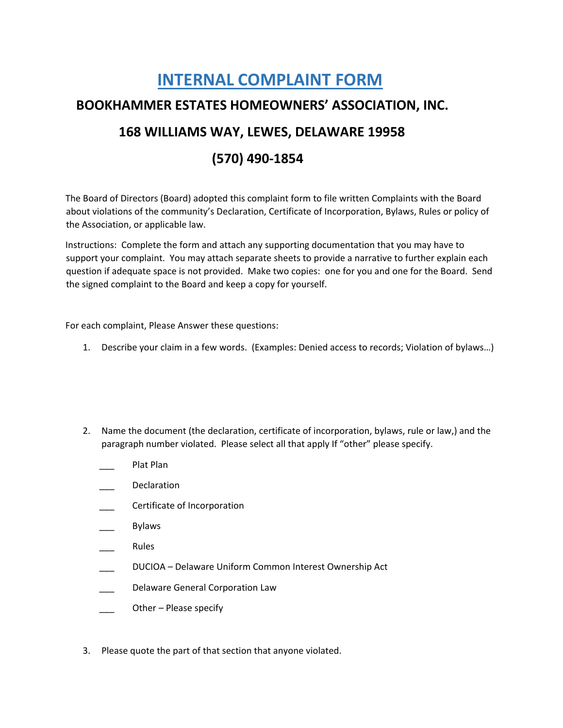## **INTERNAL COMPLAINT FORM BOOKHAMMER ESTATES HOMEOWNERS' ASSOCIATION, INC. 168 WILLIAMS WAY, LEWES, DELAWARE 19958 (570) 490-1854**

The Board of Directors (Board) adopted this complaint form to file written Complaints with the Board about violations of the community's Declaration, Certificate of Incorporation, Bylaws, Rules or policy of the Association, or applicable law.

Instructions: Complete the form and attach any supporting documentation that you may have to support your complaint. You may attach separate sheets to provide a narrative to further explain each question if adequate space is not provided. Make two copies: one for you and one for the Board. Send the signed complaint to the Board and keep a copy for yourself.

For each complaint, Please Answer these questions:

- 1. Describe your claim in a few words. (Examples: Denied access to records; Violation of bylaws…)
- 2. Name the document (the declaration, certificate of incorporation, bylaws, rule or law,) and the paragraph number violated. Please select all that apply If "other" please specify.
	- Plat Plan
	- \_\_\_ Declaration
	- \_\_\_ Certificate of Incorporation
	- \_\_\_ Bylaws
	- \_\_\_ Rules
	- \_\_\_ DUCIOA Delaware Uniform Common Interest Ownership Act
	- Delaware General Corporation Law
	- Other Please specify
- 3. Please quote the part of that section that anyone violated.